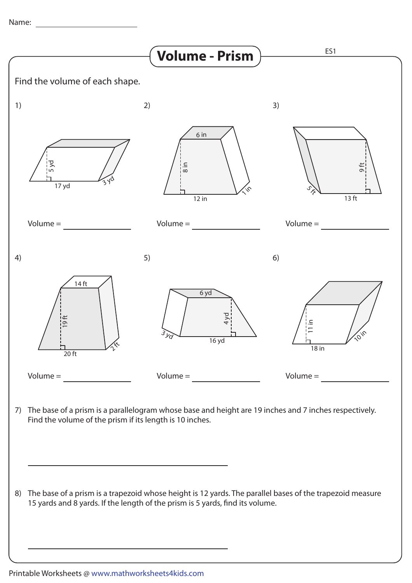